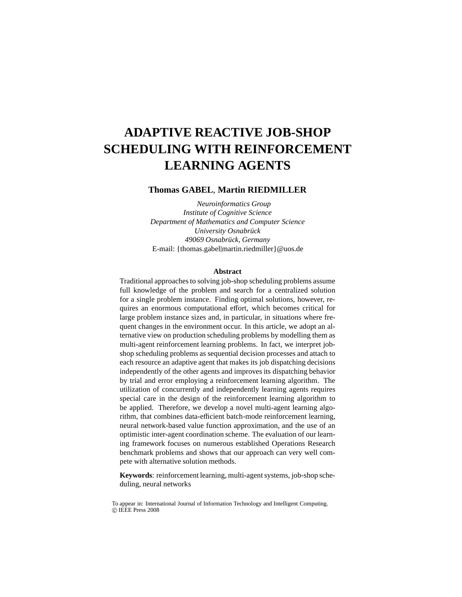# **ADAPTIVE REACTIVE JOB-SHOP SCHEDULING WITH REINFORCEMENT LEARNING AGENTS**

### **Thomas GABEL**, **Martin RIEDMILLER**

*Neuroinformatics Group Institute of Cognitive Science Department of Mathematics and Computer Science University Osnabrück 49069 Osnabrück, Germany* E-mail: {thomas.gabel|martin.riedmiller}@uos.de

#### **Abstract**

Traditional approaches to solving job-shop scheduling problems assume full knowledge of the problem and search for a centralized solution for a single problem instance. Finding optimal solutions, however, requires an enormous computational effort, which becomes critical for large problem instance sizes and, in particular, in situations where frequent changes in the environment occur. In this article, we adopt an alternative view on production scheduling problems by modelling them as multi-agent reinforcement learning problems. In fact, we interpret jobshop scheduling problems as sequential decision processes and attach to each resource an adaptive agent that makes its job dispatching decisions independently of the other agents and improves its dispatching behavior by trial and error employing a reinforcement learning algorithm. The utilization of concurrently and independently learning agents requires special care in the design of the reinforcement learning algorithm to be applied. Therefore, we develop a novel multi-agent learning algorithm, that combines data-efficient batch-mode reinforcement learning, neural network-based value function approximation, and the use of an optimistic inter-agent coordination scheme. The evaluation of our learning framework focuses on numerous established Operations Research benchmark problems and shows that our approach can very well compete with alternative solution methods.

**Keywords**: reinforcement learning, multi-agent systems, job-shop scheduling, neural networks

To appear in: International Journal of Information Technology and Intelligent Computing. c IEEE Press 2008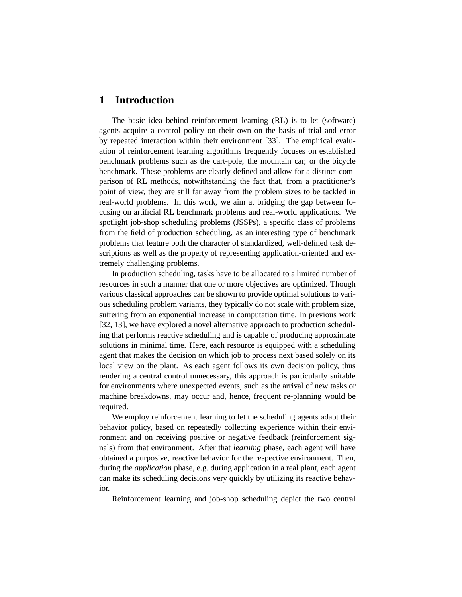## **1 Introduction**

The basic idea behind reinforcement learning (RL) is to let (software) agents acquire a control policy on their own on the basis of trial and error by repeated interaction within their environment [33]. The empirical evaluation of reinforcement learning algorithms frequently focuses on established benchmark problems such as the cart-pole, the mountain car, or the bicycle benchmark. These problems are clearly defined and allow for a distinct comparison of RL methods, notwithstanding the fact that, from a practitioner's point of view, they are still far away from the problem sizes to be tackled in real-world problems. In this work, we aim at bridging the gap between focusing on artificial RL benchmark problems and real-world applications. We spotlight job-shop scheduling problems (JSSPs), a specific class of problems from the field of production scheduling, as an interesting type of benchmark problems that feature both the character of standardized, well-defined task descriptions as well as the property of representing application-oriented and extremely challenging problems.

In production scheduling, tasks have to be allocated to a limited number of resources in such a manner that one or more objectives are optimized. Though various classical approaches can be shown to provide optimal solutions to various scheduling problem variants, they typically do not scale with problem size, suffering from an exponential increase in computation time. In previous work [32, 13], we have explored a novel alternative approach to production scheduling that performs reactive scheduling and is capable of producing approximate solutions in minimal time. Here, each resource is equipped with a scheduling agent that makes the decision on which job to process next based solely on its local view on the plant. As each agent follows its own decision policy, thus rendering a central control unnecessary, this approach is particularly suitable for environments where unexpected events, such as the arrival of new tasks or machine breakdowns, may occur and, hence, frequent re-planning would be required.

We employ reinforcement learning to let the scheduling agents adapt their behavior policy, based on repeatedly collecting experience within their environment and on receiving positive or negative feedback (reinforcement signals) from that environment. After that *learning* phase, each agent will have obtained a purposive, reactive behavior for the respective environment. Then, during the *application* phase, e.g. during application in a real plant, each agent can make its scheduling decisions very quickly by utilizing its reactive behavior.

Reinforcement learning and job-shop scheduling depict the two central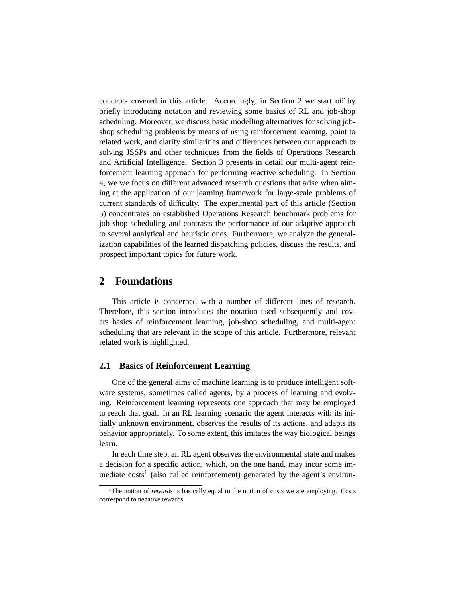concepts covered in this article. Accordingly, in Section 2 we start off by briefly introducing notation and reviewing some basics of RL and job-shop scheduling. Moreover, we discuss basic modelling alternatives for solving jobshop scheduling problems by means of using reinforcement learning, point to related work, and clarify similarities and differences between our approach to solving JSSPs and other techniques from the fields of Operations Research and Artificial Intelligence. Section 3 presents in detail our multi-agent reinforcement learning approach for performing reactive scheduling. In Section 4, we we focus on different advanced research questions that arise when aiming at the application of our learning framework for large-scale problems of current standards of difficulty. The experimental part of this article (Section 5) concentrates on established Operations Research benchmark problems for job-shop scheduling and contrasts the performance of our adaptive approach to several analytical and heuristic ones. Furthermore, we analyze the generalization capabilities of the learned dispatching policies, discuss the results, and prospect important topics for future work.

## **2 Foundations**

This article is concerned with a number of different lines of research. Therefore, this section introduces the notation used subsequently and covers basics of reinforcement learning, job-shop scheduling, and multi-agent scheduling that are relevant in the scope of this article. Furthermore, relevant related work is highlighted.

### **2.1 Basics of Reinforcement Learning**

One of the general aims of machine learning is to produce intelligent software systems, sometimes called agents, by a process of learning and evolving. Reinforcement learning represents one approach that may be employed to reach that goal. In an RL learning scenario the agent interacts with its initially unknown environment, observes the results of its actions, and adapts its behavior appropriately. To some extent, this imitates the way biological beings learn.

In each time step, an RL agent observes the environmental state and makes a decision for a specific action, which, on the one hand, may incur some immediate  $costs<sup>1</sup>$  (also called reinforcement) generated by the agent's environ-

<sup>&</sup>lt;sup>1</sup>The notion of *rewards* is basically equal to the notion of costs we are employing. Costs correspond to negative rewards.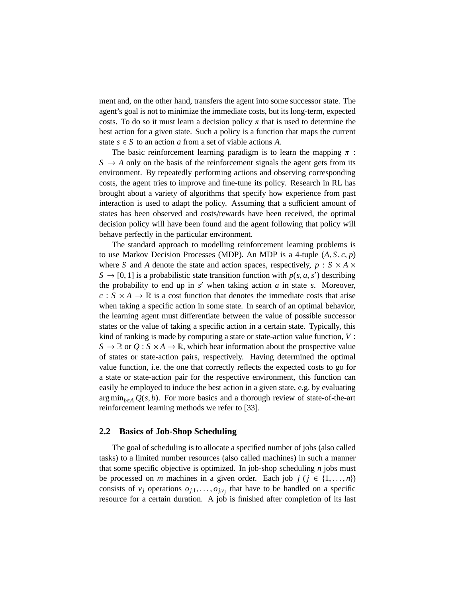ment and, on the other hand, transfers the agent into some successor state. The agent's goal is not to minimize the immediate costs, but its long-term, expected costs. To do so it must learn a decision policy  $\pi$  that is used to determine the best action for a given state. Such a policy is a function that maps the current state  $s \in S$  to an action *a* from a set of viable actions *A*.

The basic reinforcement learning paradigm is to learn the mapping  $\pi$ :  $S \rightarrow A$  only on the basis of the reinforcement signals the agent gets from its environment. By repeatedly performing actions and observing corresponding costs, the agent tries to improve and fine-tune its policy. Research in RL has brought about a variety of algorithms that specify how experience from past interaction is used to adapt the policy. Assuming that a sufficient amount of states has been observed and costs/rewards have been received, the optimal decision policy will have been found and the agent following that policy will behave perfectly in the particular environment.

The standard approach to modelling reinforcement learning problems is to use Markov Decision Processes (MDP). An MDP is a 4-tuple  $(A, S, c, p)$ where *S* and *A* denote the state and action spaces, respectively,  $p : S \times A \times$  $S \rightarrow [0, 1]$  is a probabilistic state transition function with  $p(s, a, s')$  describing the probability to end up in  $s'$  when taking action  $a$  in state  $s$ . Moreover,  $c : S \times A \rightarrow \mathbb{R}$  is a cost function that denotes the immediate costs that arise when taking a specific action in some state. In search of an optimal behavior, the learning agent must differentiate between the value of possible successor states or the value of taking a specific action in a certain state. Typically, this kind of ranking is made by computing a state or state-action value function, *V* :  $S \to \mathbb{R}$  or  $Q : S \times A \to \mathbb{R}$ , which bear information about the prospective value of states or state-action pairs, respectively. Having determined the optimal value function, i.e. the one that correctly reflects the expected costs to go for a state or state-action pair for the respective environment, this function can easily be employed to induce the best action in a given state, e.g. by evaluating arg min<sub>b∈</sub> $\Delta$  *Q*(*s*, *b*). For more basics and a thorough review of state-of-the-art reinforcement learning methods we refer to [33].

### **2.2 Basics of Job-Shop Scheduling**

The goal of scheduling is to allocate a specified number of jobs (also called tasks) to a limited number resources (also called machines) in such a manner that some specific objective is optimized. In job-shop scheduling *n* jobs must be processed on *m* machines in a given order. Each job  $j$  ( $j \in \{1, ..., n\}$ ) consists of  $v_j$  operations  $o_{j,1}, \ldots, o_{j,v_j}$  that have to be handled on a specific resource for a certain duration. A job is finished after completion of its last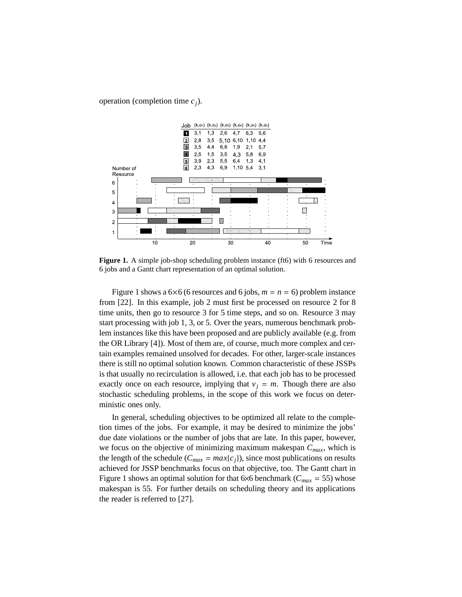operation (completion time *cj*).



**Figure 1.** A simple job-shop scheduling problem instance (ft6) with 6 resources and 6 jobs and a Gantt chart representation of an optimal solution.

Figure 1 shows a  $6\times6$  (6 resources and 6 jobs,  $m = n = 6$ ) problem instance from [22]. In this example, job 2 must first be processed on resource 2 for 8 time units, then go to resource 3 for 5 time steps, and so on. Resource 3 may start processing with job 1, 3, or 5. Over the years, numerous benchmark problem instances like this have been proposed and are publicly available (e.g. from the OR Library [4]). Most of them are, of course, much more complex and certain examples remained unsolved for decades. For other, larger-scale instances there is still no optimal solution known. Common characteristic of these JSSPs is that usually no recirculation is allowed, i.e. that each job has to be processed exactly once on each resource, implying that  $v_j = m$ . Though there are also stochastic scheduling problems, in the scope of this work we focus on deterministic ones only.

In general, scheduling objectives to be optimized all relate to the completion times of the jobs. For example, it may be desired to minimize the jobs' due date violations or the number of jobs that are late. In this paper, however, we focus on the objective of minimizing maximum makespan *Cmax*, which is the length of the schedule  $(C_{max} = max{c_i})$ , since most publications on results achieved for JSSP benchmarks focus on that objective, too. The Gantt chart in Figure 1 shows an optimal solution for that 6×6 benchmark ( $C_{max}$  = 55) whose makespan is 55. For further details on scheduling theory and its applications the reader is referred to [27].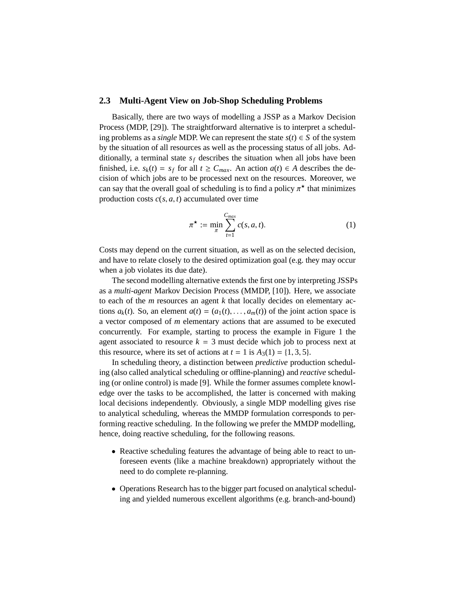## **2.3 Multi-Agent View on Job-Shop Scheduling Problems**

Basically, there are two ways of modelling a JSSP as a Markov Decision Process (MDP, [29]). The straightforward alternative is to interpret a scheduling problems as a *single* MDP. We can represent the state  $s(t) \in S$  of the system by the situation of all resources as well as the processing status of all jobs. Additionally, a terminal state  $s_f$  describes the situation when all jobs have been finished, i.e.  $s_k(t) = s_f$  for all  $t \geq C_{max}$ . An action  $a(t) \in A$  describes the decision of which jobs are to be processed next on the resources. Moreover, we can say that the overall goal of scheduling is to find a policy  $\pi^*$  that minimizes production costs  $c(s, a, t)$  accumulated over time

$$
\pi^{\star} := \min_{\pi} \sum_{t=1}^{C_{max}} c(s, a, t). \tag{1}
$$

Costs may depend on the current situation, as well as on the selected decision, and have to relate closely to the desired optimization goal (e.g. they may occur when a job violates its due date).

The second modelling alternative extends the first one by interpreting JSSPs as a *multi-agent* Markov Decision Process (MMDP, [10]). Here, we associate to each of the *m* resources an agent *k* that locally decides on elementary actions  $a_k(t)$ . So, an element  $a(t) = (a_1(t), \ldots, a_m(t))$  of the joint action space is a vector composed of *m* elementary actions that are assumed to be executed concurrently. For example, starting to process the example in Figure 1 the agent associated to resource  $k = 3$  must decide which job to process next at this resource, where its set of actions at  $t = 1$  is  $A_3(1) = \{1, 3, 5\}.$ 

In scheduling theory, a distinction between *predictive* production scheduling (also called analytical scheduling or offline-planning) and *reactive* scheduling (or online control) is made [9]. While the former assumes complete knowledge over the tasks to be accomplished, the latter is concerned with making local decisions independently. Obviously, a single MDP modelling gives rise to analytical scheduling, whereas the MMDP formulation corresponds to performing reactive scheduling. In the following we prefer the MMDP modelling, hence, doing reactive scheduling, for the following reasons.

- Reactive scheduling features the advantage of being able to react to unforeseen events (like a machine breakdown) appropriately without the need to do complete re-planning.
- Operations Research has to the bigger part focused on analytical scheduling and yielded numerous excellent algorithms (e.g. branch-and-bound)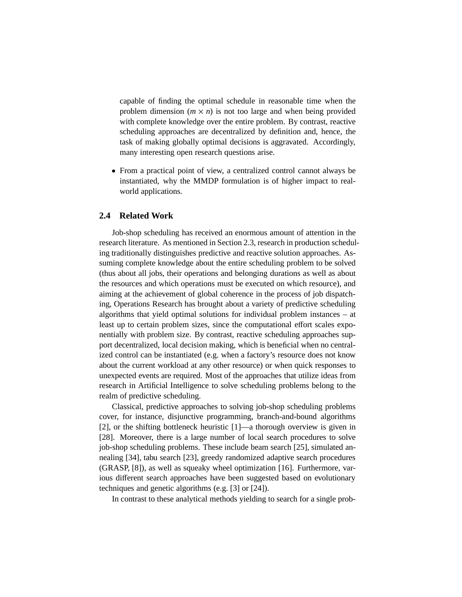capable of finding the optimal schedule in reasonable time when the problem dimension  $(m \times n)$  is not too large and when being provided with complete knowledge over the entire problem. By contrast, reactive scheduling approaches are decentralized by definition and, hence, the task of making globally optimal decisions is aggravated. Accordingly, many interesting open research questions arise.

• From a practical point of view, a centralized control cannot always be instantiated, why the MMDP formulation is of higher impact to realworld applications.

## **2.4 Related Work**

Job-shop scheduling has received an enormous amount of attention in the research literature. As mentioned in Section 2.3, research in production scheduling traditionally distinguishes predictive and reactive solution approaches. Assuming complete knowledge about the entire scheduling problem to be solved (thus about all jobs, their operations and belonging durations as well as about the resources and which operations must be executed on which resource), and aiming at the achievement of global coherence in the process of job dispatching, Operations Research has brought about a variety of predictive scheduling algorithms that yield optimal solutions for individual problem instances – at least up to certain problem sizes, since the computational effort scales exponentially with problem size. By contrast, reactive scheduling approaches support decentralized, local decision making, which is beneficial when no centralized control can be instantiated (e.g. when a factory's resource does not know about the current workload at any other resource) or when quick responses to unexpected events are required. Most of the approaches that utilize ideas from research in Artificial Intelligence to solve scheduling problems belong to the realm of predictive scheduling.

Classical, predictive approaches to solving job-shop scheduling problems cover, for instance, disjunctive programming, branch-and-bound algorithms [2], or the shifting bottleneck heuristic [1]—a thorough overview is given in [28]. Moreover, there is a large number of local search procedures to solve job-shop scheduling problems. These include beam search [25], simulated annealing [34], tabu search [23], greedy randomized adaptive search procedures (GRASP, [8]), as well as squeaky wheel optimization [16]. Furthermore, various different search approaches have been suggested based on evolutionary techniques and genetic algorithms (e.g. [3] or [24]).

In contrast to these analytical methods yielding to search for a single prob-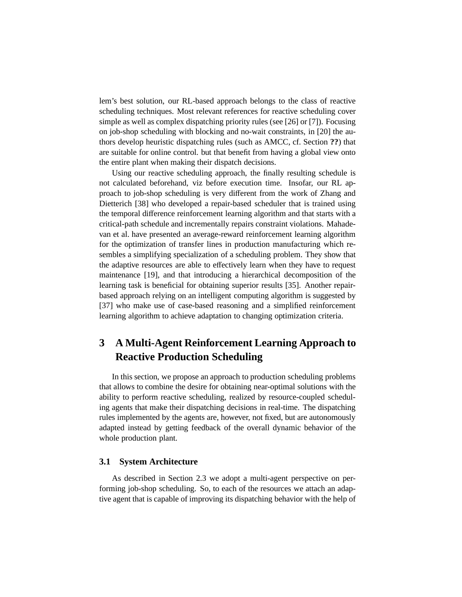lem's best solution, our RL-based approach belongs to the class of reactive scheduling techniques. Most relevant references for reactive scheduling cover simple as well as complex dispatching priority rules (see [26] or [7]). Focusing on job-shop scheduling with blocking and no-wait constraints, in [20] the authors develop heuristic dispatching rules (such as AMCC, cf. Section **??**) that are suitable for online control. but that benefit from having a global view onto the entire plant when making their dispatch decisions.

Using our reactive scheduling approach, the finally resulting schedule is not calculated beforehand, viz before execution time. Insofar, our RL approach to job-shop scheduling is very different from the work of Zhang and Dietterich [38] who developed a repair-based scheduler that is trained using the temporal difference reinforcement learning algorithm and that starts with a critical-path schedule and incrementally repairs constraint violations. Mahadevan et al. have presented an average-reward reinforcement learning algorithm for the optimization of transfer lines in production manufacturing which resembles a simplifying specialization of a scheduling problem. They show that the adaptive resources are able to effectively learn when they have to request maintenance [19], and that introducing a hierarchical decomposition of the learning task is beneficial for obtaining superior results [35]. Another repairbased approach relying on an intelligent computing algorithm is suggested by [37] who make use of case-based reasoning and a simplified reinforcement learning algorithm to achieve adaptation to changing optimization criteria.

## **3 A Multi-Agent Reinforcement Learning Approach to Reactive Production Scheduling**

In this section, we propose an approach to production scheduling problems that allows to combine the desire for obtaining near-optimal solutions with the ability to perform reactive scheduling, realized by resource-coupled scheduling agents that make their dispatching decisions in real-time. The dispatching rules implemented by the agents are, however, not fixed, but are autonomously adapted instead by getting feedback of the overall dynamic behavior of the whole production plant.

## **3.1 System Architecture**

As described in Section 2.3 we adopt a multi-agent perspective on performing job-shop scheduling. So, to each of the resources we attach an adaptive agent that is capable of improving its dispatching behavior with the help of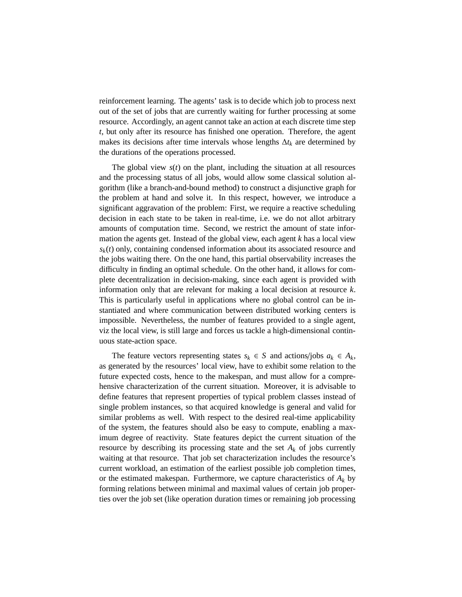reinforcement learning. The agents' task is to decide which job to process next out of the set of jobs that are currently waiting for further processing at some resource. Accordingly, an agent cannot take an action at each discrete time step *t*, but only after its resource has finished one operation. Therefore, the agent makes its decisions after time intervals whose lengths ∆*t<sup>k</sup>* are determined by the durations of the operations processed.

The global view  $s(t)$  on the plant, including the situation at all resources and the processing status of all jobs, would allow some classical solution algorithm (like a branch-and-bound method) to construct a disjunctive graph for the problem at hand and solve it. In this respect, however, we introduce a significant aggravation of the problem: First, we require a reactive scheduling decision in each state to be taken in real-time, i.e. we do not allot arbitrary amounts of computation time. Second, we restrict the amount of state information the agents get. Instead of the global view, each agent *k* has a local view *sk*(*t*) only, containing condensed information about its associated resource and the jobs waiting there. On the one hand, this partial observability increases the difficulty in finding an optimal schedule. On the other hand, it allows for complete decentralization in decision-making, since each agent is provided with information only that are relevant for making a local decision at resource *k*. This is particularly useful in applications where no global control can be instantiated and where communication between distributed working centers is impossible. Nevertheless, the number of features provided to a single agent, viz the local view, is still large and forces us tackle a high-dimensional continuous state-action space.

The feature vectors representing states  $s_k \in S$  and actions/jobs  $a_k \in A_k$ , as generated by the resources' local view, have to exhibit some relation to the future expected costs, hence to the makespan, and must allow for a comprehensive characterization of the current situation. Moreover, it is advisable to define features that represent properties of typical problem classes instead of single problem instances, so that acquired knowledge is general and valid for similar problems as well. With respect to the desired real-time applicability of the system, the features should also be easy to compute, enabling a maximum degree of reactivity. State features depict the current situation of the resource by describing its processing state and the set  $A_k$  of jobs currently waiting at that resource. That job set characterization includes the resource's current workload, an estimation of the earliest possible job completion times, or the estimated makespan. Furthermore, we capture characteristics of *A<sup>k</sup>* by forming relations between minimal and maximal values of certain job properties over the job set (like operation duration times or remaining job processing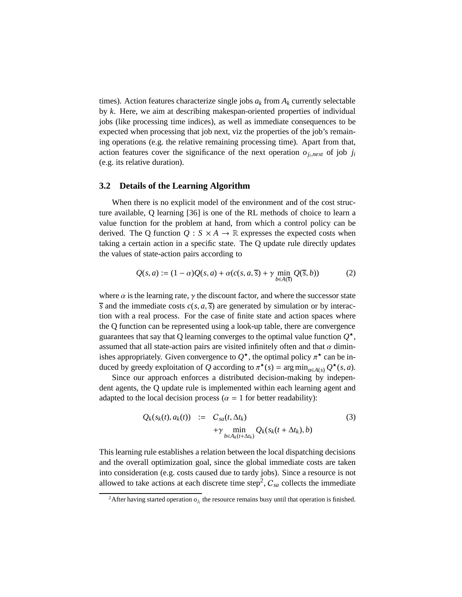times). Action features characterize single jobs  $a_k$  from  $A_k$  currently selectable by *k*. Here, we aim at describing makespan-oriented properties of individual jobs (like processing time indices), as well as immediate consequences to be expected when processing that job next, viz the properties of the job's remaining operations (e.g. the relative remaining processing time). Apart from that, action features cover the significance of the next operation  $o_{j_i, next}$  of job  $j_i$ (e.g. its relative duration).

## **3.2 Details of the Learning Algorithm**

When there is no explicit model of the environment and of the cost structure available, Q learning [36] is one of the RL methods of choice to learn a value function for the problem at hand, from which a control policy can be derived. The Q function  $Q : S \times A \rightarrow \mathbb{R}$  expresses the expected costs when taking a certain action in a specific state. The Q update rule directly updates the values of state-action pairs according to

$$
Q(s, a) := (1 - \alpha)Q(s, a) + \alpha(c(s, a, \overline{s}) + \gamma \min_{b \in A(\overline{s})} Q(\overline{s}, b))
$$
 (2)

where  $\alpha$  is the learning rate,  $\gamma$  the discount factor, and where the successor state  $\overline{s}$  and the immediate costs  $c(s, a, \overline{s})$  are generated by simulation or by interaction with a real process. For the case of finite state and action spaces where the Q function can be represented using a look-up table, there are convergence guarantees that say that Q learning converges to the optimal value function  $Q^{\star}$ , assumed that all state-action pairs are visited infinitely often and that  $\alpha$  diminishes appropriately. Given convergence to  $Q^*$ , the optimal policy  $\pi^*$  can be induced by greedy exploitation of *Q* according to  $\pi^*(s) = \arg \min_{a \in A(s)} Q^*(s, a)$ .

Since our approach enforces a distributed decision-making by independent agents, the Q update rule is implemented within each learning agent and adapted to the local decision process ( $\alpha = 1$  for better readability):

$$
Q_k(s_k(t), a_k(t)) := C_{sa}(t, \Delta t_k)
$$
  
 
$$
+ \gamma \min_{b \in A_k(t + \Delta t_k)} Q_k(s_k(t + \Delta t_k), b)
$$
 (3)

This learning rule establishes a relation between the local dispatching decisions and the overall optimization goal, since the global immediate costs are taken into consideration (e.g. costs caused due to tardy jobs). Since a resource is not allowed to take actions at each discrete time step<sup>2</sup>,  $C_{sa}$  collects the immediate

<sup>&</sup>lt;sup>2</sup>After having started operation  $o_{j_i}$  the resource remains busy until that operation is finished.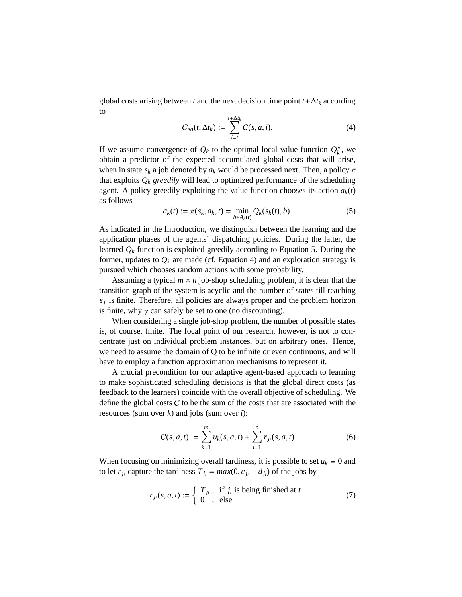global costs arising between *t* and the next decision time point *t*+∆*t<sup>k</sup>* according to

$$
C_{sa}(t,\Delta t_k) := \sum_{i=t}^{t+\Delta t_k} C(s,a,i). \tag{4}
$$

If we assume convergence of  $Q_k$  to the optimal local value function  $Q_k^*$ , we obtain a predictor of the expected accumulated global costs that will arise, when in state  $s_k$  a job denoted by  $a_k$  would be processed next. Then, a policy  $\pi$ that exploits  $Q_k$  *greedily* will lead to optimized performance of the scheduling agent. A policy greedily exploiting the value function chooses its action  $a_k(t)$ as follows

$$
a_k(t) := \pi(s_k, a_k, t) = \min_{b \in A_k(t)} Q_k(s_k(t), b).
$$
 (5)

As indicated in the Introduction, we distinguish between the learning and the application phases of the agents' dispatching policies. During the latter, the learned  $Q_k$  function is exploited greedily according to Equation 5. During the former, updates to  $Q_k$  are made (cf. Equation 4) and an exploration strategy is pursued which chooses random actions with some probability.

Assuming a typical  $m \times n$  job-shop scheduling problem, it is clear that the transition graph of the system is acyclic and the number of states till reaching *sf* is finite. Therefore, all policies are always proper and the problem horizon is finite, why  $\gamma$  can safely be set to one (no discounting).

When considering a single job-shop problem, the number of possible states is, of course, finite. The focal point of our research, however, is not to concentrate just on individual problem instances, but on arbitrary ones. Hence, we need to assume the domain of Q to be infinite or even continuous, and will have to employ a function approximation mechanisms to represent it.

A crucial precondition for our adaptive agent-based approach to learning to make sophisticated scheduling decisions is that the global direct costs (as feedback to the learners) coincide with the overall objective of scheduling. We define the global costs  $C$  to be the sum of the costs that are associated with the resources (sum over *k*) and jobs (sum over *i*):

$$
C(s, a, t) := \sum_{k=1}^{m} u_k(s, a, t) + \sum_{i=1}^{n} r_{j_i}(s, a, t)
$$
 (6)

When focusing on minimizing overall tardiness, it is possible to set  $u_k \equiv 0$  and to let  $r_{j_i}$  capture the tardiness  $T_{j_i} = max(0, c_{j_i} - d_{j_i})$  of the jobs by

$$
r_{j_i}(s, a, t) := \begin{cases} T_{j_i}, & \text{if } j_i \text{ is being finished at } t \\ 0, & \text{else} \end{cases}
$$
 (7)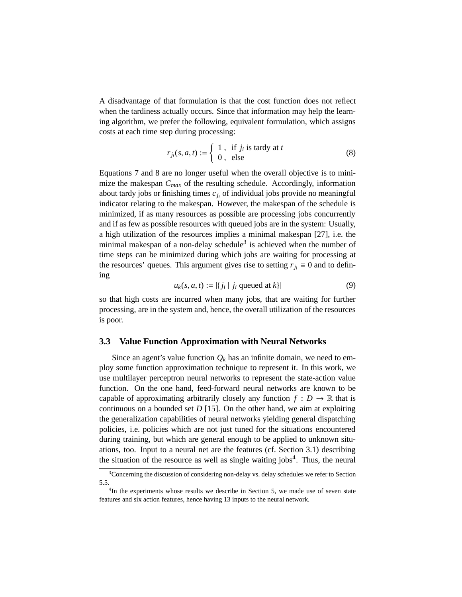A disadvantage of that formulation is that the cost function does not reflect when the tardiness actually occurs. Since that information may help the learning algorithm, we prefer the following, equivalent formulation, which assigns costs at each time step during processing:

$$
r_{j_i}(s, a, t) := \begin{cases} 1, & \text{if } j_i \text{ is } \text{tary at } t \\ 0, & \text{else} \end{cases}
$$
 (8)

Equations 7 and 8 are no longer useful when the overall objective is to minimize the makespan *Cmax* of the resulting schedule. Accordingly, information about tardy jobs or finishing times *cj<sup>i</sup>* of individual jobs provide no meaningful indicator relating to the makespan. However, the makespan of the schedule is minimized, if as many resources as possible are processing jobs concurrently and if as few as possible resources with queued jobs are in the system: Usually, a high utilization of the resources implies a minimal makespan [27], i.e. the minimal makespan of a non-delay schedule<sup>3</sup> is achieved when the number of time steps can be minimized during which jobs are waiting for processing at the resources' queues. This argument gives rise to setting  $r_{i} \equiv 0$  and to defining

$$
u_k(s, a, t) := |\{ j_i \mid j_i \text{ queued at } k \}|
$$
 (9)

so that high costs are incurred when many jobs, that are waiting for further processing, are in the system and, hence, the overall utilization of the resources is poor.

#### **3.3 Value Function Approximation with Neural Networks**

Since an agent's value function  $Q_k$  has an infinite domain, we need to employ some function approximation technique to represent it. In this work, we use multilayer perceptron neural networks to represent the state-action value function. On the one hand, feed-forward neural networks are known to be capable of approximating arbitrarily closely any function  $f: D \to \mathbb{R}$  that is continuous on a bounded set *D* [15]. On the other hand, we aim at exploiting the generalization capabilities of neural networks yielding general dispatching policies, i.e. policies which are not just tuned for the situations encountered during training, but which are general enough to be applied to unknown situations, too. Input to a neural net are the features (cf. Section 3.1) describing the situation of the resource as well as single waiting jobs<sup>4</sup>. Thus, the neural

<sup>&</sup>lt;sup>3</sup>Concerning the discussion of considering non-delay vs. delay schedules we refer to Section 5.5.

<sup>&</sup>lt;sup>4</sup>In the experiments whose results we describe in Section 5, we made use of seven state features and six action features, hence having 13 inputs to the neural network.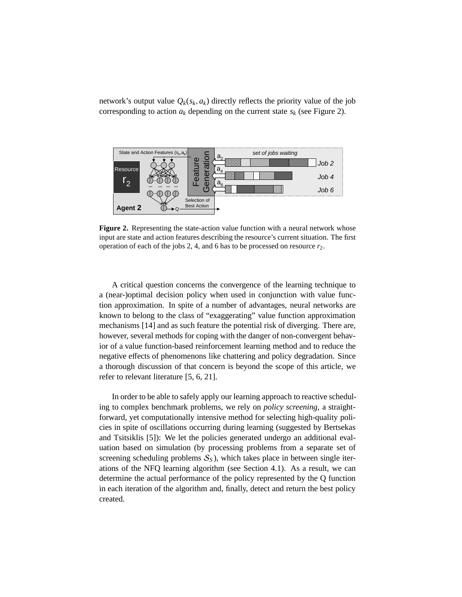network's output value  $Q_k(s_k, a_k)$  directly reflects the priority value of the job corresponding to action  $a_k$  depending on the current state  $s_k$  (see Figure 2).



**Figure 2.** Representing the state-action value function with a neural network whose input are state and action features describing the resource's current situation. The first operation of each of the jobs 2, 4, and 6 has to be processed on resource  $r_2$ .

A critical question concerns the convergence of the learning technique to a (near-)optimal decision policy when used in conjunction with value function approximation. In spite of a number of advantages, neural networks are known to belong to the class of "exaggerating" value function approximation mechanisms [14] and as such feature the potential risk of diverging. There are, however, several methods for coping with the danger of non-convergent behavior of a value function-based reinforcement learning method and to reduce the negative effects of phenomenons like chattering and policy degradation. Since a thorough discussion of that concern is beyond the scope of this article, we refer to relevant literature [5, 6, 21].

In order to be able to safely apply our learning approach to reactive scheduling to complex benchmark problems, we rely on *policy screening*, a straightforward, yet computationally intensive method for selecting high-quality policies in spite of oscillations occurring during learning (suggested by Bertsekas and Tsitsiklis [5]): We let the policies generated undergo an additional evaluation based on simulation (by processing problems from a separate set of screening scheduling problems  $S<sub>S</sub>$ ), which takes place in between single iterations of the NFQ learning algorithm (see Section 4.1). As a result, we can determine the actual performance of the policy represented by the Q function in each iteration of the algorithm and, finally, detect and return the best policy created.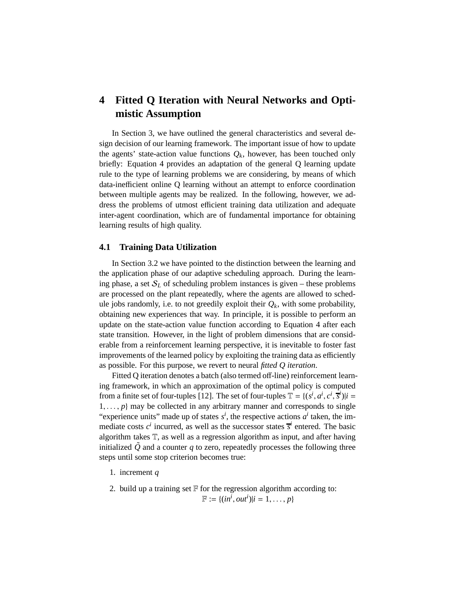## **4 Fitted Q Iteration with Neural Networks and Optimistic Assumption**

In Section 3, we have outlined the general characteristics and several design decision of our learning framework. The important issue of how to update the agents' state-action value functions  $Q_k$ , however, has been touched only briefly: Equation 4 provides an adaptation of the general Q learning update rule to the type of learning problems we are considering, by means of which data-inefficient online Q learning without an attempt to enforce coordination between multiple agents may be realized. In the following, however, we address the problems of utmost efficient training data utilization and adequate inter-agent coordination, which are of fundamental importance for obtaining learning results of high quality.

## **4.1 Training Data Utilization**

In Section 3.2 we have pointed to the distinction between the learning and the application phase of our adaptive scheduling approach. During the learning phase, a set  $S_L$  of scheduling problem instances is given – these problems are processed on the plant repeatedly, where the agents are allowed to schedule jobs randomly, i.e. to not greedily exploit their  $Q_k$ , with some probability, obtaining new experiences that way. In principle, it is possible to perform an update on the state-action value function according to Equation 4 after each state transition. However, in the light of problem dimensions that are considerable from a reinforcement learning perspective, it is inevitable to foster fast improvements of the learned policy by exploiting the training data as efficiently as possible. For this purpose, we revert to neural *fitted Q iteration*.

Fitted Q iteration denotes a batch (also termed off-line) reinforcement learning framework, in which an approximation of the optimal policy is computed from a finite set of four-tuples [12]. The set of four-tuples  $\mathbb{T} = \{ (s^i, a^i, c^i, \overline{s}^i) | i =$  $1, \ldots, p$  may be collected in any arbitrary manner and corresponds to single "experience units" made up of states  $s^i$ , the respective actions  $a^i$  taken, the immediate costs  $c^i$  incurred, as well as the successor states  $\bar{s}^i$  entered. The basic algorithm takes T, as well as a regression algorithm as input, and after having initialized  $\tilde{Q}$  and a counter *q* to zero, repeatedly processes the following three steps until some stop criterion becomes true:

- 1. increment *q*
- 2. build up a training set  $F$  for the regression algorithm according to:  $\mathbb{F} := \{ (in^i, out^i) | i = 1, ..., p \}$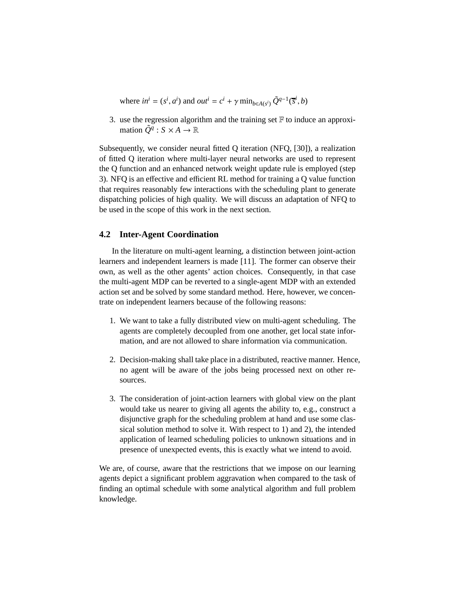where  $in^i = (s^i, a^i)$  and  $out^i = c^i + \gamma \min_{b \in A(s^i)} \tilde{Q}^{q-1}(\overline{s}^i, b)$ 

3. use the regression algorithm and the training set  $\mathbb F$  to induce an approximation  $\tilde{Q}^q$  :  $S \times A \to \mathbb{R}$ 

Subsequently, we consider neural fitted Q iteration (NFQ, [30]), a realization of fitted Q iteration where multi-layer neural networks are used to represent the Q function and an enhanced network weight update rule is employed (step 3). NFQ is an effective and efficient RL method for training a Q value function that requires reasonably few interactions with the scheduling plant to generate dispatching policies of high quality. We will discuss an adaptation of NFQ to be used in the scope of this work in the next section.

## **4.2 Inter-Agent Coordination**

In the literature on multi-agent learning, a distinction between joint-action learners and independent learners is made [11]. The former can observe their own, as well as the other agents' action choices. Consequently, in that case the multi-agent MDP can be reverted to a single-agent MDP with an extended action set and be solved by some standard method. Here, however, we concentrate on independent learners because of the following reasons:

- 1. We want to take a fully distributed view on multi-agent scheduling. The agents are completely decoupled from one another, get local state information, and are not allowed to share information via communication.
- 2. Decision-making shall take place in a distributed, reactive manner. Hence, no agent will be aware of the jobs being processed next on other resources.
- 3. The consideration of joint-action learners with global view on the plant would take us nearer to giving all agents the ability to, e.g., construct a disjunctive graph for the scheduling problem at hand and use some classical solution method to solve it. With respect to 1) and 2), the intended application of learned scheduling policies to unknown situations and in presence of unexpected events, this is exactly what we intend to avoid.

We are, of course, aware that the restrictions that we impose on our learning agents depict a significant problem aggravation when compared to the task of finding an optimal schedule with some analytical algorithm and full problem knowledge.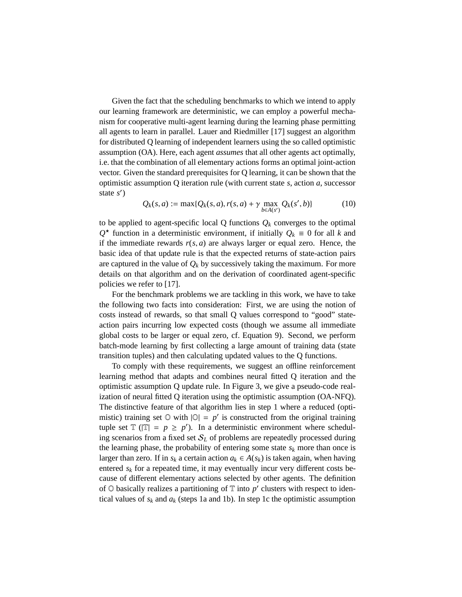Given the fact that the scheduling benchmarks to which we intend to apply our learning framework are deterministic, we can employ a powerful mechanism for cooperative multi-agent learning during the learning phase permitting all agents to learn in parallel. Lauer and Riedmiller [17] suggest an algorithm for distributed Q learning of independent learners using the so called optimistic assumption (OA). Here, each agent *assumes* that all other agents act optimally, i.e. that the combination of all elementary actions forms an optimal joint-action vector. Given the standard prerequisites for Q learning, it can be shown that the optimistic assumption Q iteration rule (with current state *s*, action *a*, successor state *s* ′ )

$$
Q_k(s, a) := \max\{Q_k(s, a), r(s, a) + \gamma \max_{b \in A(s')} Q_k(s', b)\}
$$
(10)

to be applied to agent-specific local  $Q$  functions  $Q_k$  converges to the optimal  $Q$ <sup>★</sup> function in a deterministic environment, if initially  $Q_k$  ≡ 0 for all *k* and if the immediate rewards  $r(s, a)$  are always larger or equal zero. Hence, the basic idea of that update rule is that the expected returns of state-action pairs are captured in the value of  $Q_k$  by successively taking the maximum. For more details on that algorithm and on the derivation of coordinated agent-specific policies we refer to [17].

For the benchmark problems we are tackling in this work, we have to take the following two facts into consideration: First, we are using the notion of costs instead of rewards, so that small Q values correspond to "good" stateaction pairs incurring low expected costs (though we assume all immediate global costs to be larger or equal zero, cf. Equation 9). Second, we perform batch-mode learning by first collecting a large amount of training data (state transition tuples) and then calculating updated values to the Q functions.

To comply with these requirements, we suggest an offline reinforcement learning method that adapts and combines neural fitted Q iteration and the optimistic assumption Q update rule. In Figure 3, we give a pseudo-code realization of neural fitted Q iteration using the optimistic assumption (OA-NFQ). The distinctive feature of that algorithm lies in step 1 where a reduced (optimistic) training set  $\heartsuit$  with  $|\heartsuit| = p'$  is constructed from the original training tuple set  $\mathbb{T}$  ( $|\mathbb{T}| = p \geq p'$ ). In a deterministic environment where scheduling scenarios from a fixed set  $S_L$  of problems are repeatedly processed during the learning phase, the probability of entering some state  $s_k$  more than once is larger than zero. If in  $s_k$  a certain action  $a_k \in A(s_k)$  is taken again, when having entered  $s_k$  for a repeated time, it may eventually incur very different costs because of different elementary actions selected by other agents. The definition of  $\odot$  basically realizes a partitioning of  $\mathbb T$  into  $p'$  clusters with respect to identical values of  $s_k$  and  $a_k$  (steps 1a and 1b). In step 1c the optimistic assumption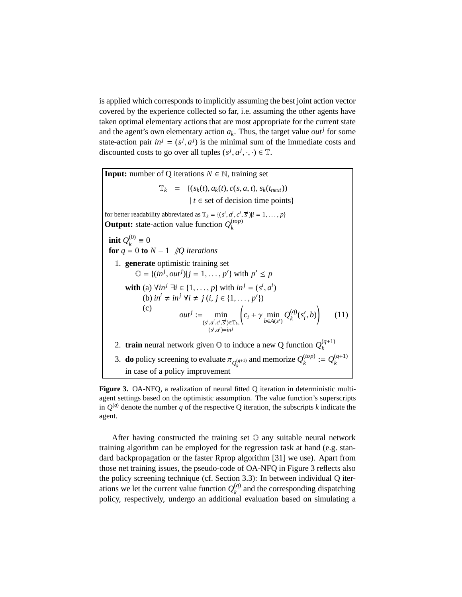is applied which corresponds to implicitly assuming the best joint action vector covered by the experience collected so far, i.e. assuming the other agents have taken optimal elementary actions that are most appropriate for the current state and the agent's own elementary action  $a_k$ . Thus, the target value  $out<sup>j</sup>$  for some state-action pair  $in^j = (s^j, a^j)$  is the minimal sum of the immediate costs and discounted costs to go over all tuples  $(s^j, a^j, \cdot, \cdot) \in \mathbb{T}$ .

**Input:** number of Q iterations  $N \in \mathbb{N}$ , training set  $\mathbb{T}_k = \{(s_k(t), a_k(t), c(s, a, t), s_k(t_{next}))\}$  $| t \in \text{set of decision time points}$ for better readability abbreviated as  $\mathbb{T}_k = \{(s^i, a^i, c^i, \overline{s}^i)|i = 1, \ldots, p\}$ **Output:** state-action value function  $Q_k^{(top)}$ *k*  $\mathbf{init} \; Q_{\iota}^{(0)}$  $\binom{00}{k}$  ≡ 0 **for**  $q = 0$  **to**  $N - 1$  //*Q* iterations 1. **generate** optimistic training set  $\mathbb{O} = \{ (in^j, out^j) | j = 1, ..., p' \}$  with  $p' \leq p$ **with** (a)  $\forall in^{j} \exists i \in \{1, ..., p\}$  with  $in^{j} = (s^{i}, a^{i})$ (b)  $in^i \neq in^j \ \forall i \neq j \ (i, j \in \{1, \ldots, p'\})$ (c)  $out^j := \min$  $(s^i, a^i, c^i, \overline{s}^i) \in \mathbb{T}_k$ ,  $(s^i, a^i) = in^j$  $\left(c_i + \gamma \min_{b \in A(s')} Q_k^{(q)}\right)$  $\binom{q}{k}(s'_i,b)$ (11) 2. **train** neural network given  $\odot$  to induce a new Q function  $Q_k^{(q+1)}$ *k* 3. **do** policy screening to evaluate  $\pi_{Q_k^{(q+1)}}$  and memorize  $Q_k^{(top)}$  $\mathcal{Q}_k^{(top)} := Q_k^{(q+1)}$ *k* in case of a policy improvement

**Figure 3.** OA-NFQ, a realization of neural fitted Q iteration in deterministic multiagent settings based on the optimistic assumption. The value function's superscripts in  $Q^{(q)}$  denote the number *q* of the respective Q iteration, the subscripts *k* indicate the agent.

After having constructed the training set  $\mathbb O$  any suitable neural network training algorithm can be employed for the regression task at hand (e.g. standard backpropagation or the faster Rprop algorithm [31] we use). Apart from those net training issues, the pseudo-code of OA-NFQ in Figure 3 reflects also the policy screening technique (cf. Section 3.3): In between individual Q iterations we let the current value function  $Q_k^{(q)}$  $k_R^{(q)}$  and the corresponding dispatching policy, respectively, undergo an additional evaluation based on simulating a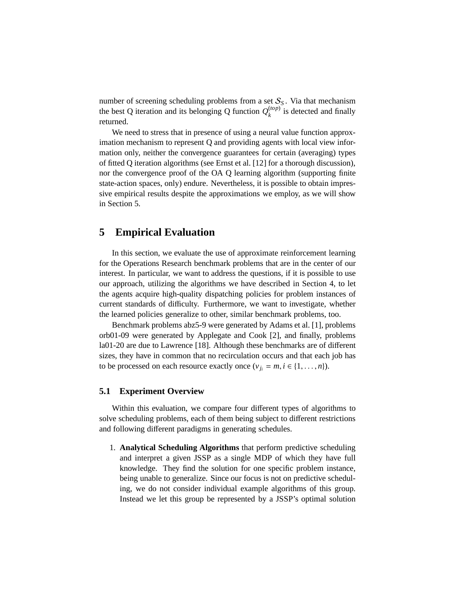number of screening scheduling problems from a set  $S_S$ . Via that mechanism the best Q iteration and its belonging Q function  $Q_k^{(top)}$  $\binom{(top)}{k}$  is detected and finally returned.

We need to stress that in presence of using a neural value function approximation mechanism to represent Q and providing agents with local view information only, neither the convergence guarantees for certain (averaging) types of fitted Q iteration algorithms (see Ernst et al. [12] for a thorough discussion), nor the convergence proof of the OA Q learning algorithm (supporting finite state-action spaces, only) endure. Nevertheless, it is possible to obtain impressive empirical results despite the approximations we employ, as we will show in Section 5.

## **5 Empirical Evaluation**

In this section, we evaluate the use of approximate reinforcement learning for the Operations Research benchmark problems that are in the center of our interest. In particular, we want to address the questions, if it is possible to use our approach, utilizing the algorithms we have described in Section 4, to let the agents acquire high-quality dispatching policies for problem instances of current standards of difficulty. Furthermore, we want to investigate, whether the learned policies generalize to other, similar benchmark problems, too.

Benchmark problems abz5-9 were generated by Adams et al. [1], problems orb01-09 were generated by Applegate and Cook [2], and finally, problems la01-20 are due to Lawrence [18]. Although these benchmarks are of different sizes, they have in common that no recirculation occurs and that each job has to be processed on each resource exactly once  $(v_{j_i} = m, i \in \{1, ..., n\})$ .

### **5.1 Experiment Overview**

Within this evaluation, we compare four different types of algorithms to solve scheduling problems, each of them being subject to different restrictions and following different paradigms in generating schedules.

1. **Analytical Scheduling Algorithms** that perform predictive scheduling and interpret a given JSSP as a single MDP of which they have full knowledge. They find the solution for one specific problem instance, being unable to generalize. Since our focus is not on predictive scheduling, we do not consider individual example algorithms of this group. Instead we let this group be represented by a JSSP's optimal solution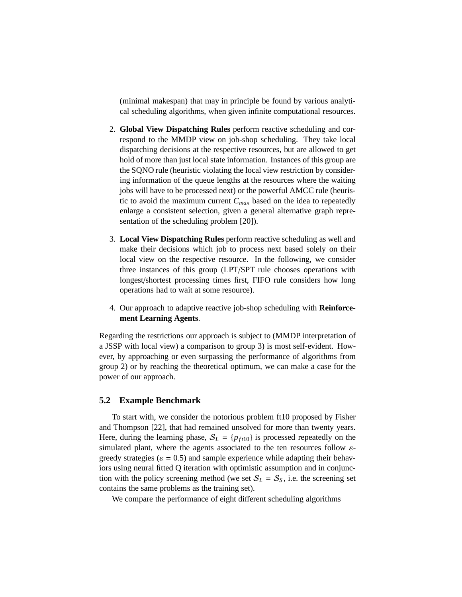(minimal makespan) that may in principle be found by various analytical scheduling algorithms, when given infinite computational resources.

- 2. **Global View Dispatching Rules** perform reactive scheduling and correspond to the MMDP view on job-shop scheduling. They take local dispatching decisions at the respective resources, but are allowed to get hold of more than just local state information. Instances of this group are the SQNO rule (heuristic violating the local view restriction by considering information of the queue lengths at the resources where the waiting jobs will have to be processed next) or the powerful AMCC rule (heuristic to avoid the maximum current *Cmax* based on the idea to repeatedly enlarge a consistent selection, given a general alternative graph representation of the scheduling problem [20]).
- 3. **Local View Dispatching Rules** perform reactive scheduling as well and make their decisions which job to process next based solely on their local view on the respective resource. In the following, we consider three instances of this group (LPT/SPT rule chooses operations with longest/shortest processing times first, FIFO rule considers how long operations had to wait at some resource).
- 4. Our approach to adaptive reactive job-shop scheduling with **Reinforcement Learning Agents**.

Regarding the restrictions our approach is subject to (MMDP interpretation of a JSSP with local view) a comparison to group 3) is most self-evident. However, by approaching or even surpassing the performance of algorithms from group 2) or by reaching the theoretical optimum, we can make a case for the power of our approach.

### **5.2 Example Benchmark**

To start with, we consider the notorious problem ft10 proposed by Fisher and Thompson [22], that had remained unsolved for more than twenty years. Here, during the learning phase,  $S_L = \{p_{ft10}\}\$ is processed repeatedly on the simulated plant, where the agents associated to the ten resources follow  $\varepsilon$ greedy strategies ( $\varepsilon = 0.5$ ) and sample experience while adapting their behaviors using neural fitted Q iteration with optimistic assumption and in conjunction with the policy screening method (we set  $S_L = S_S$ , i.e. the screening set contains the same problems as the training set).

We compare the performance of eight different scheduling algorithms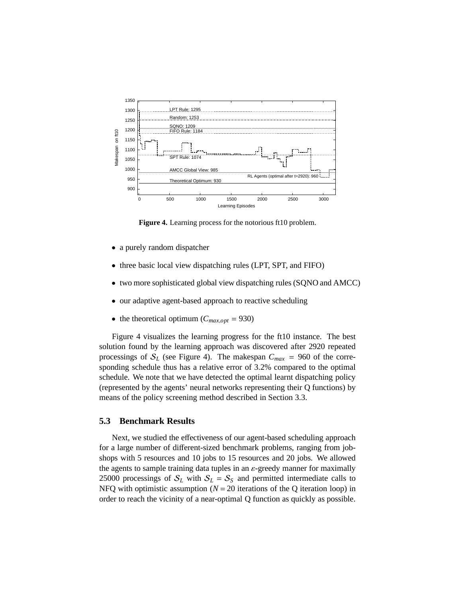

**Figure 4.** Learning process for the notorious ft10 problem.

- a purely random dispatcher
- three basic local view dispatching rules (LPT, SPT, and FIFO)
- two more sophisticated global view dispatching rules (SQNO and AMCC)
- our adaptive agent-based approach to reactive scheduling
- the theoretical optimum ( $C_{max,opt}$  = 930)

Figure 4 visualizes the learning progress for the ft10 instance. The best solution found by the learning approach was discovered after 2920 repeated processings of  $S_L$  (see Figure 4). The makespan  $C_{max} = 960$  of the corresponding schedule thus has a relative error of 3.2% compared to the optimal schedule. We note that we have detected the optimal learnt dispatching policy (represented by the agents' neural networks representing their Q functions) by means of the policy screening method described in Section 3.3.

## **5.3 Benchmark Results**

Next, we studied the effectiveness of our agent-based scheduling approach for a large number of different-sized benchmark problems, ranging from jobshops with 5 resources and 10 jobs to 15 resources and 20 jobs. We allowed the agents to sample training data tuples in an  $\varepsilon$ -greedy manner for maximally 25000 processings of  $S_L$  with  $S_L = S_S$  and permitted intermediate calls to NFQ with optimistic assumption  $(N = 20)$  iterations of the Q iteration loop) in order to reach the vicinity of a near-optimal Q function as quickly as possible.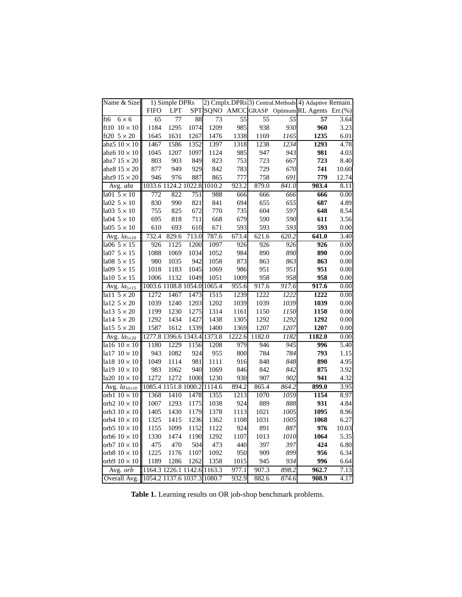| Name & Size                              |                             | 1) Simple DPRs              |            |        |        |        |       | 2) Cmplx.DPRs 3) Central.Methods 4) Adaptive Remain. |       |
|------------------------------------------|-----------------------------|-----------------------------|------------|--------|--------|--------|-------|------------------------------------------------------|-------|
|                                          | <b>FIFO</b>                 | <b>LPT</b>                  | <b>SPT</b> | SQNO   |        |        |       | AMCC GRASP Optimum RL Agents Err. (%)                |       |
| $6 \times 6$<br>ft6                      | 65                          | 77                          | 88         | 73     | 55     | 55     | 55    | 57                                                   | 3.64  |
| ft10 $10 \times 10$                      | 1184                        | 1295                        | 1074       | 1209   | 985    | 938    | 930   | 960                                                  | 3.23  |
| ft20 $5 \times 20$                       | 1645                        | 1631                        | 1267       | 1476   | 1338   | 1169   | 1165  | 1235                                                 | 6.01  |
| abz $510 \times 10$                      | 1467                        | 1586                        | 1352       | 1397   | 1318   | 1238   | 1234  | 1293                                                 | 4.78  |
| abz6 $10 \times 10$                      | 1045                        | 1207                        | 1097       | 1124   | 985    | 947    | 943   | 981                                                  | 4.03  |
| abz7 $15 \times 20$                      | 803                         | 903                         | 849        | 823    | 753    | 723    | 667   | 723                                                  | 8.40  |
| abz $815 \times 20$                      | 877                         | 949                         | 929        | 842    | 783    | 729    | 670   | 741                                                  | 10.60 |
| abz $915 \times 20$                      | 946                         | 976                         | 887        | 865    | 777    | 758    | 691   | 779                                                  | 12.74 |
| Avg. abz                                 |                             | 1033.6 1124.2 1022.8        |            | 1010.2 | 923.2  | 879.0  | 841.0 | 903.4                                                | 8.11  |
| la01 $5 \times 10$                       | 772                         | 822                         | 751        | 988    | 666    | 666    | 666   | 666                                                  | 0.00  |
| la02 $5 \times 10$                       | 830                         | 990                         | 821        | 841    | 694    | 655    | 655   | 687                                                  | 4.89  |
| la03 $5 \times 10$                       | 755                         | 825                         | 672        | 770    | 735    | 604    | 597   | 648                                                  | 8.54  |
| la04 $5 \times 10$                       | 695                         |                             | 711        | 668    | 679    | 590    | 590   | 611                                                  | 3.56  |
|                                          | 610                         | 818                         |            |        | 593    |        | 593   | 593                                                  |       |
| la05 $5 \times 10$                       |                             | 693                         | 610        | 671    |        | 593    |       |                                                      | 0.00  |
| Avg. $la_{5\times10}$                    | 732.4                       | 829.6                       | 713.0      | 787.6  | 673.4  | 621.6  | 620.2 | 641.0                                                | 3.40  |
| la06 $5 \times 15$                       | 926                         | 1125                        | 1200       | 1097   | 926    | 926    | 926   | 926                                                  | 0.00  |
| la07 $5 \times 15$                       | 1088                        | 1069                        | 1034       | 1052   | 984    | 890    | 890   | 890                                                  | 0.00  |
| la08 $5 \times 15$                       | 980                         | 1035                        | 942        | 1058   | 873    | 863    | 863   | 863                                                  | 0.00  |
| la09 $5 \times 15$                       | 1018                        | 1183                        | 1045       | 1069   | 986    | 951    | 951   | 951                                                  | 0.00  |
| la10 $5 \times 15$                       | 1006                        | 1132                        | 1049       | 1051   | 1009   | 958    | 958   | 958                                                  | 0.00  |
| Avg. $la_{5\times 15}$                   |                             | 1003.6 1108.8 1054.0 1065.4 |            |        | 955.6  | 917.6  | 917.6 | 917.6                                                | 0.00  |
| la $11\,5\times20$                       | 1272                        | 1467                        | 1473       | 1515   | 1239   | 1222   | 1222  | 1222                                                 | 0.00  |
| la12 $5 \times 20$                       | 1039                        | 1240                        | 1203       | 1202   | 1039   | 1039   | 1039  | 1039                                                 | 0.00  |
| la13 $5 \times 20$                       | 1199                        | 1230                        | 1275       | 1314   | 1161   | 1150   | 1150  | 1150                                                 | 0.00  |
| la14 $5 \times 20$                       | 1292                        | 1434                        | 1427       | 1438   | 1305   | 1292   | 1292  | 1292                                                 | 0.00  |
| la15 $5 \times 20$                       | 1587                        | 1612                        | 1339       | 1400   | 1369   | 1207   | 1207  | 1207                                                 | 0.00  |
| Avg. $la_{5\times20}$                    | 1277.8 1396.6 1343.4        |                             |            | 1373.8 | 1222.6 | 1182.0 | 1182  | 1182.0                                               | 0.00  |
| la16 10 × 10                             | 1180                        | 1229                        | 1156       | 1208   | 979    | 946    | 945   | 996                                                  | 5.40  |
| $1a17$ $10 \times 10$                    | 943                         | 1082                        | 924        | 955    | 800    | 784    | 784   | 793                                                  | 1.15  |
| la18 $10 \times 10$                      | 1049                        | 1114                        | 981        | 1111   | 916    | 848    | 848   | 890                                                  | 4.95  |
| la19 $10 \times 10$                      | 983                         | 1062                        | 940        | 1069   | 846    | 842    | 842   | 875                                                  | 3.92  |
| la20 $10 \times 10$                      | 1272                        | 1272                        | 1000       | 1230   | 930    | 907    | 902   | 941                                                  | 4.32  |
| Avg. $la_{10\times10}$                   |                             | 1085.4 1151.8 1000.2        |            | 1114.6 | 894.2  | 865.4  | 864.2 | 899.0                                                | 3.95  |
| orb1 $10 \times 10$                      | 1368                        | 1410                        | 1478       | 1355   | 1213   | 1070   | 1059  | 1154                                                 | 8.97  |
| orb2 $10 \times 10$                      | 1007                        | 1293                        | 1175       | 1038   | 924    | 889    | 888   | 931                                                  | 4.84  |
| orb3 $10 \times 10$                      | 1405                        | 1430                        | 1179       | 1378   | 1113   | 1021   | 1005  | 1095                                                 | 8.96  |
| orb4 $10 \times 10$                      | 1325                        | 1415                        | 1236       | 1362   | 1108   | 1031   | 1005  | 1068                                                 | 6.27  |
| orb5 $10 \times 10$                      | 1155                        | 1099                        | 1152       | 1122   | 924    | 891    | 887   | 976                                                  | 10.03 |
| orb6 $10 \times 10$                      | 1330                        | 1474                        | 1190       | 1292   | 1107   | 1013   | 1010  | 1064                                                 | 5.35  |
| orb7 $10 \times 10$                      | 475                         | 470                         | 504        | 473    | 440    | 397    | 397   | 424                                                  | 6.80  |
| orb8 $10 \times 10$                      | 1225                        | 1176                        | 1107       | 1092   | 950    | 909    | 899   | 956                                                  | 6.34  |
| orb9 $10 \times 10$                      | 1189                        | 1286                        | 1262       | 1358   | 1015   | 945    | 934   | 996                                                  | 6.64  |
| Avg. <i>orb</i>                          | 1164.3 1226.1 1142.6 1163.3 |                             |            |        | 977.1  | 907.3  | 898.2 | 962.7                                                | 7.13  |
| Overall Avg. 1054.2 1137.6 1037.3 1080.7 |                             |                             |            |        | 932.9  | 882.6  | 874.6 | 908.9                                                | 4.17  |
|                                          |                             |                             |            |        |        |        |       |                                                      |       |

**Table 1.** Learning results on OR job-shop benchmark problems.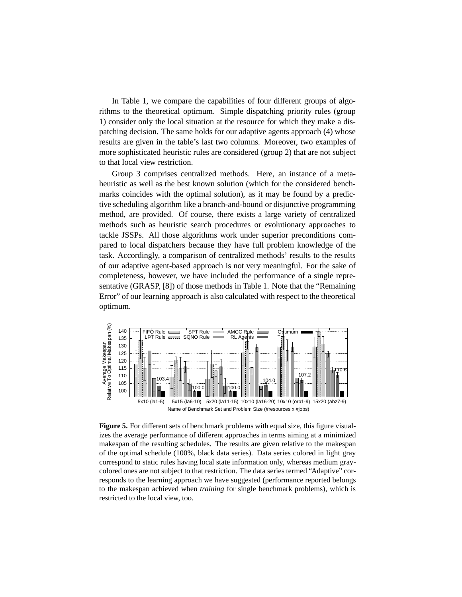In Table 1, we compare the capabilities of four different groups of algorithms to the theoretical optimum. Simple dispatching priority rules (group 1) consider only the local situation at the resource for which they make a dispatching decision. The same holds for our adaptive agents approach (4) whose results are given in the table's last two columns. Moreover, two examples of more sophisticated heuristic rules are considered (group 2) that are not subject to that local view restriction.

Group 3 comprises centralized methods. Here, an instance of a metaheuristic as well as the best known solution (which for the considered benchmarks coincides with the optimal solution), as it may be found by a predictive scheduling algorithm like a branch-and-bound or disjunctive programming method, are provided. Of course, there exists a large variety of centralized methods such as heuristic search procedures or evolutionary approaches to tackle JSSPs. All those algorithms work under superior preconditions compared to local dispatchers because they have full problem knowledge of the task. Accordingly, a comparison of centralized methods' results to the results of our adaptive agent-based approach is not very meaningful. For the sake of completeness, however, we have included the performance of a single representative (GRASP, [8]) of those methods in Table 1. Note that the "Remaining Error" of our learning approach is also calculated with respect to the theoretical optimum.



**Figure 5.** For different sets of benchmark problems with equal size, this figure visualizes the average performance of different approaches in terms aiming at a minimized makespan of the resulting schedules. The results are given relative to the makespan of the optimal schedule (100%, black data series). Data series colored in light gray correspond to static rules having local state information only, whereas medium graycolored ones are not subject to that restriction. The data series termed "Adaptive" corresponds to the learning approach we have suggested (performance reported belongs to the makespan achieved when *training* for single benchmark problems), which is restricted to the local view, too.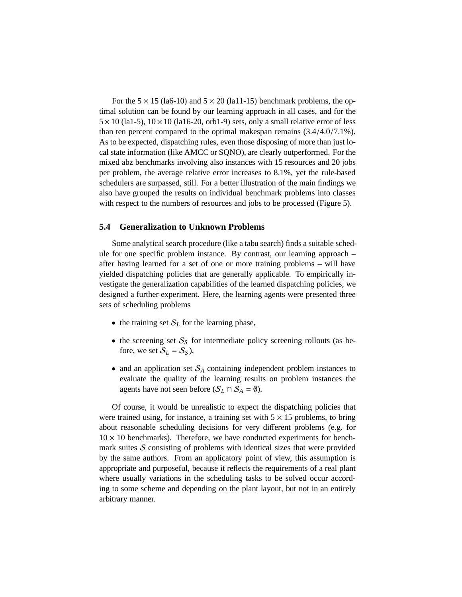For the  $5 \times 15$  (la6-10) and  $5 \times 20$  (la11-15) benchmark problems, the optimal solution can be found by our learning approach in all cases, and for the  $5 \times 10$  (la1-5),  $10 \times 10$  (la16-20, orb1-9) sets, only a small relative error of less than ten percent compared to the optimal makespan remains (3.4/4.0/7.1%). As to be expected, dispatching rules, even those disposing of more than just local state information (like AMCC or SQNO), are clearly outperformed. For the mixed abz benchmarks involving also instances with 15 resources and 20 jobs per problem, the average relative error increases to 8.1%, yet the rule-based schedulers are surpassed, still. For a better illustration of the main findings we also have grouped the results on individual benchmark problems into classes with respect to the numbers of resources and jobs to be processed (Figure 5).

### **5.4 Generalization to Unknown Problems**

Some analytical search procedure (like a tabu search) finds a suitable schedule for one specific problem instance. By contrast, our learning approach – after having learned for a set of one or more training problems – will have yielded dispatching policies that are generally applicable. To empirically investigate the generalization capabilities of the learned dispatching policies, we designed a further experiment. Here, the learning agents were presented three sets of scheduling problems

- the training set  $S_L$  for the learning phase,
- the screening set  $S<sub>S</sub>$  for intermediate policy screening rollouts (as before, we set  $S_L = S_S$ ),
- and an application set  $S_A$  containing independent problem instances to evaluate the quality of the learning results on problem instances the agents have not seen before  $(S_L \cap S_A = \emptyset)$ .

Of course, it would be unrealistic to expect the dispatching policies that were trained using, for instance, a training set with  $5 \times 15$  problems, to bring about reasonable scheduling decisions for very different problems (e.g. for  $10 \times 10$  benchmarks). Therefore, we have conducted experiments for benchmark suites  $S$  consisting of problems with identical sizes that were provided by the same authors. From an applicatory point of view, this assumption is appropriate and purposeful, because it reflects the requirements of a real plant where usually variations in the scheduling tasks to be solved occur according to some scheme and depending on the plant layout, but not in an entirely arbitrary manner.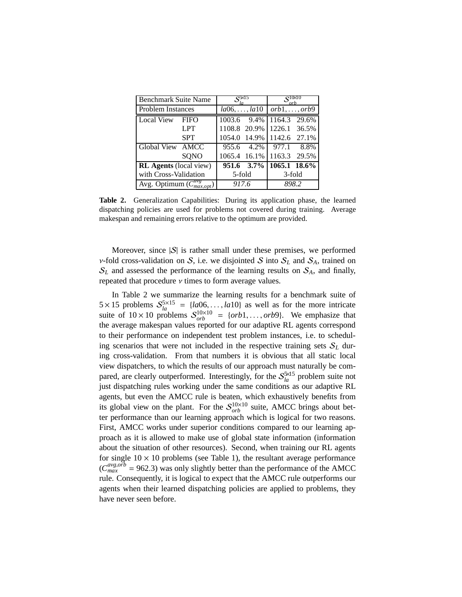| <b>Benchmark Suite Name</b>        | $\mathbf{S}$ $\boxtimes$ $\mathbf{S}$ |        | $\mathcal{C}^{10\!\times\!10}$ |                    |       |
|------------------------------------|---------------------------------------|--------|--------------------------------|--------------------|-------|
| <b>Problem Instances</b>           | $la06, \ldots, la10$                  |        | $orb1, \ldots, orb9$           |                    |       |
| <b>Local View</b>                  | <b>FIFO</b>                           | 1003.6 | 9.4%                           | 1164.3 29.6%       |       |
|                                    | <b>LPT</b>                            |        | 1108.8 20.9%                   | 1226.1             | 36.5% |
|                                    | <b>SPT</b>                            | 1054.0 |                                | 14.9% 1142.6 27.1% |       |
| Global View AMCC                   |                                       | 955.6  | 4.2%                           | 977.1              | 8.8%  |
|                                    | SQNO                                  |        | 1065.4 16.1%                   | 1163.3 29.5%       |       |
| <b>RL</b> Agents (local view)      |                                       |        | 951.6 3.7% 1065.1 18.6%        |                    |       |
| with Cross-Validation              | 5-fold                                |        | 3-fold                         |                    |       |
| Avg. Optimum $(C_{max,out}^{avg})$ | 917.6                                 |        | 898.2                          |                    |       |

**Table 2.** Generalization Capabilities: During its application phase, the learned dispatching policies are used for problems not covered during training. Average makespan and remaining errors relative to the optimum are provided.

Moreover, since  $|S|$  is rather small under these premises, we performed v-fold cross-validation on S, i.e. we disjointed S into  $S_L$  and  $S_A$ , trained on  $S_L$  and assessed the performance of the learning results on  $S_A$ , and finally, repeated that procedure  $\nu$  times to form average values.

In Table 2 we summarize the learning results for a benchmark suite of  $5 \times 15$  problems  $S_{la}^{5 \times 15}$  = {*la*06,...,*la*10} as well as for the more intricate suite of  $10 \times 10$  problems  $S_{orb}^{10 \times 10}$  = {*orb*1,...,*orb*9}. We emphasize that the average makespan values reported for our adaptive RL agents correspond to their performance on independent test problem instances, i.e. to scheduling scenarios that were not included in the respective training sets  $S_L$  during cross-validation. From that numbers it is obvious that all static local view dispatchers, to which the results of our approach must naturally be compared, are clearly outperformed. Interestingly, for the  $S_{la}^{\frac{5}{100}}$  problem suite not just dispatching rules working under the same conditions as our adaptive RL agents, but even the AMCC rule is beaten, which exhaustively benefits from its global view on the plant. For the  $S_{orb}^{10\times10}$  suite, AMCC brings about better performance than our learning approach which is logical for two reasons. First, AMCC works under superior conditions compared to our learning approach as it is allowed to make use of global state information (information about the situation of other resources). Second, when training our RL agents for single  $10 \times 10$  problems (see Table 1), the resultant average performance  $(C_{max}^{avg, orb} = 962.3)$  was only slightly better than the performance of the AMCC rule. Consequently, it is logical to expect that the AMCC rule outperforms our agents when their learned dispatching policies are applied to problems, they have never seen before.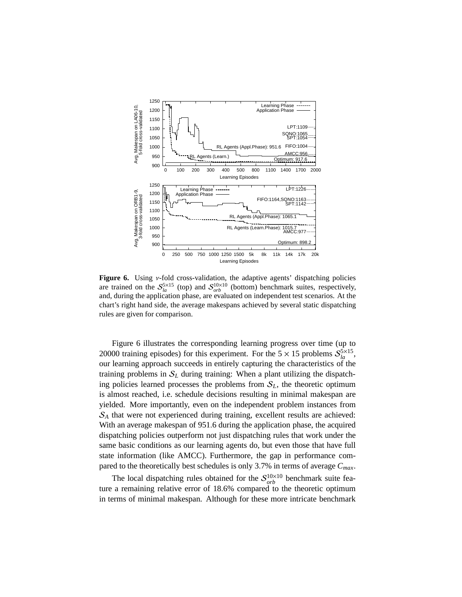

**Figure 6.** Using ν-fold cross-validation, the adaptive agents' dispatching policies are trained on the  $S_{la}^{5\times15}$  (top) and  $S_{orb}^{10\times10}$  (bottom) benchmark suites, respectively, and, during the application phase, are evaluated on independent test scenarios. At the chart's right hand side, the average makespans achieved by several static dispatching rules are given for comparison.

Figure 6 illustrates the corresponding learning progress over time (up to 20000 training episodes) for this experiment. For the  $5 \times 15$  problems  $S_{la}^{5 \times 15}$ , our learning approach succeeds in entirely capturing the characteristics of the training problems in  $S_L$  during training: When a plant utilizing the dispatching policies learned processes the problems from  $S_L$ , the theoretic optimum is almost reached, i.e. schedule decisions resulting in minimal makespan are yielded. More importantly, even on the independent problem instances from S*<sup>A</sup>* that were not experienced during training, excellent results are achieved: With an average makespan of 951.6 during the application phase, the acquired dispatching policies outperform not just dispatching rules that work under the same basic conditions as our learning agents do, but even those that have full state information (like AMCC). Furthermore, the gap in performance compared to the theoretically best schedules is only 3.7% in terms of average *Cmax*.

The local dispatching rules obtained for the  $S_{orb}^{10\times10}$  benchmark suite feature a remaining relative error of 18.6% compared to the theoretic optimum in terms of minimal makespan. Although for these more intricate benchmark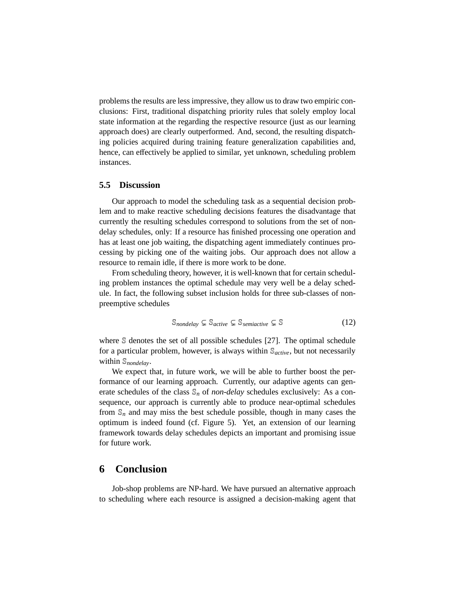problems the results are less impressive, they allow us to draw two empiric conclusions: First, traditional dispatching priority rules that solely employ local state information at the regarding the respective resource (just as our learning approach does) are clearly outperformed. And, second, the resulting dispatching policies acquired during training feature generalization capabilities and, hence, can effectively be applied to similar, yet unknown, scheduling problem instances.

## **5.5 Discussion**

Our approach to model the scheduling task as a sequential decision problem and to make reactive scheduling decisions features the disadvantage that currently the resulting schedules correspond to solutions from the set of nondelay schedules, only: If a resource has finished processing one operation and has at least one job waiting, the dispatching agent immediately continues processing by picking one of the waiting jobs. Our approach does not allow a resource to remain idle, if there is more work to be done.

From scheduling theory, however, it is well-known that for certain scheduling problem instances the optimal schedule may very well be a delay schedule. In fact, the following subset inclusion holds for three sub-classes of nonpreemptive schedules

$$
\mathbb{S}_{nondelay} \subsetneq \mathbb{S}_{active} \subsetneq \mathbb{S}_{semiacitive} \subsetneq \mathbb{S}
$$
 (12)

where  $\Im$  denotes the set of all possible schedules [27]. The optimal schedule for a particular problem, however, is always within S*active*, but not necessarily within S*nondelay*.

We expect that, in future work, we will be able to further boost the performance of our learning approach. Currently, our adaptive agents can generate schedules of the class  $\mathcal{S}_n$  of *non-delay* schedules exclusively: As a consequence, our approach is currently able to produce near-optimal schedules from  $\mathbb{S}_n$  and may miss the best schedule possible, though in many cases the optimum is indeed found (cf. Figure 5). Yet, an extension of our learning framework towards delay schedules depicts an important and promising issue for future work.

## **6 Conclusion**

Job-shop problems are NP-hard. We have pursued an alternative approach to scheduling where each resource is assigned a decision-making agent that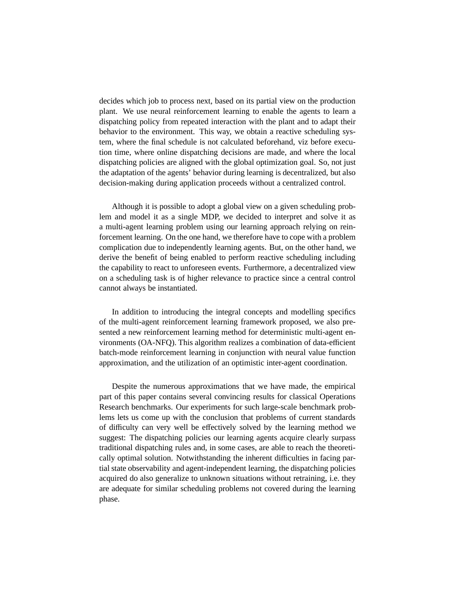decides which job to process next, based on its partial view on the production plant. We use neural reinforcement learning to enable the agents to learn a dispatching policy from repeated interaction with the plant and to adapt their behavior to the environment. This way, we obtain a reactive scheduling system, where the final schedule is not calculated beforehand, viz before execution time, where online dispatching decisions are made, and where the local dispatching policies are aligned with the global optimization goal. So, not just the adaptation of the agents' behavior during learning is decentralized, but also decision-making during application proceeds without a centralized control.

Although it is possible to adopt a global view on a given scheduling problem and model it as a single MDP, we decided to interpret and solve it as a multi-agent learning problem using our learning approach relying on reinforcement learning. On the one hand, we therefore have to cope with a problem complication due to independently learning agents. But, on the other hand, we derive the benefit of being enabled to perform reactive scheduling including the capability to react to unforeseen events. Furthermore, a decentralized view on a scheduling task is of higher relevance to practice since a central control cannot always be instantiated.

In addition to introducing the integral concepts and modelling specifics of the multi-agent reinforcement learning framework proposed, we also presented a new reinforcement learning method for deterministic multi-agent environments (OA-NFQ). This algorithm realizes a combination of data-efficient batch-mode reinforcement learning in conjunction with neural value function approximation, and the utilization of an optimistic inter-agent coordination.

Despite the numerous approximations that we have made, the empirical part of this paper contains several convincing results for classical Operations Research benchmarks. Our experiments for such large-scale benchmark problems lets us come up with the conclusion that problems of current standards of difficulty can very well be effectively solved by the learning method we suggest: The dispatching policies our learning agents acquire clearly surpass traditional dispatching rules and, in some cases, are able to reach the theoretically optimal solution. Notwithstanding the inherent difficulties in facing partial state observability and agent-independent learning, the dispatching policies acquired do also generalize to unknown situations without retraining, i.e. they are adequate for similar scheduling problems not covered during the learning phase.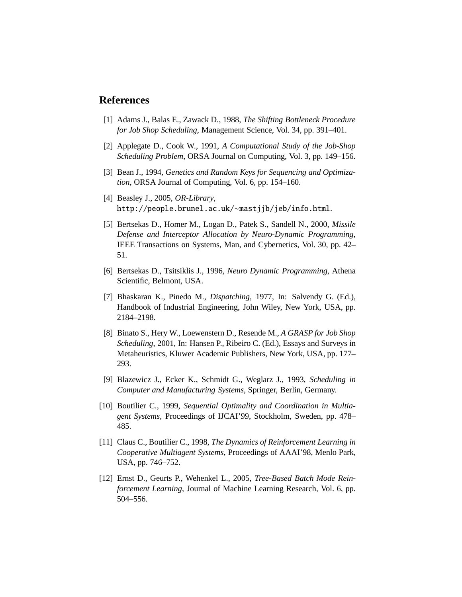## **References**

- [1] Adams J., Balas E., Zawack D., 1988, *The Shifting Bottleneck Procedure for Job Shop Scheduling*, Management Science, Vol. 34, pp. 391–401.
- [2] Applegate D., Cook W., 1991, *A Computational Study of the Job-Shop Scheduling Problem*, ORSA Journal on Computing, Vol. 3, pp. 149–156.
- [3] Bean J., 1994, *Genetics and Random Keys for Sequencing and Optimization*, ORSA Journal of Computing, Vol. 6, pp. 154–160.
- [4] Beasley J., 2005, *OR-Library*, http://people.brunel.ac.uk/∼mastjjb/jeb/info.html.
- [5] Bertsekas D., Homer M., Logan D., Patek S., Sandell N., 2000, *Missile Defense and Interceptor Allocation by Neuro-Dynamic Programming*, IEEE Transactions on Systems, Man, and Cybernetics, Vol. 30, pp. 42– 51.
- [6] Bertsekas D., Tsitsiklis J., 1996, *Neuro Dynamic Programming*, Athena Scientific, Belmont, USA.
- [7] Bhaskaran K., Pinedo M., *Dispatching*, 1977, In: Salvendy G. (Ed.), Handbook of Industrial Engineering, John Wiley, New York, USA, pp. 2184–2198.
- [8] Binato S., Hery W., Loewenstern D., Resende M., *A GRASP for Job Shop Scheduling*, 2001, In: Hansen P., Ribeiro C. (Ed.), Essays and Surveys in Metaheuristics, Kluwer Academic Publishers, New York, USA, pp. 177– 293.
- [9] Blazewicz J., Ecker K., Schmidt G., Weglarz J., 1993, *Scheduling in Computer and Manufacturing Systems*, Springer, Berlin, Germany.
- [10] Boutilier C., 1999, *Sequential Optimality and Coordination in Multiagent Systems*, Proceedings of IJCAI'99, Stockholm, Sweden, pp. 478– 485.
- [11] Claus C., Boutilier C., 1998, *The Dynamics of Reinforcement Learning in Cooperative Multiagent Systems*, Proceedings of AAAI'98, Menlo Park, USA, pp. 746–752.
- [12] Ernst D., Geurts P., Wehenkel L., 2005, *Tree-Based Batch Mode Reinforcement Learning*, Journal of Machine Learning Research, Vol. 6, pp. 504–556.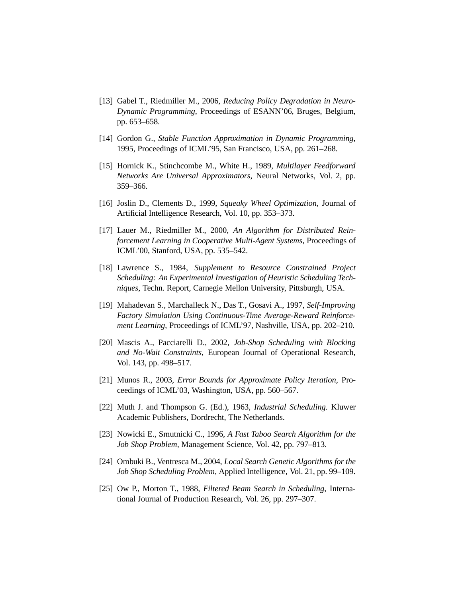- [13] Gabel T., Riedmiller M., 2006, *Reducing Policy Degradation in Neuro-Dynamic Programming*, Proceedings of ESANN'06, Bruges, Belgium, pp. 653–658.
- [14] Gordon G., *Stable Function Approximation in Dynamic Programming*, 1995, Proceedings of ICML'95, San Francisco, USA, pp. 261–268.
- [15] Hornick K., Stinchcombe M., White H., 1989, *Multilayer Feedforward Networks Are Universal Approximators*, Neural Networks, Vol. 2, pp. 359–366.
- [16] Joslin D., Clements D., 1999, *Squeaky Wheel Optimization*, Journal of Artificial Intelligence Research, Vol. 10, pp. 353–373.
- [17] Lauer M., Riedmiller M., 2000, *An Algorithm for Distributed Reinforcement Learning in Cooperative Multi-Agent Systems*, Proceedings of ICML'00, Stanford, USA, pp. 535–542.
- [18] Lawrence S., 1984, *Supplement to Resource Constrained Project Scheduling: An Experimental Investigation of Heuristic Scheduling Techniques*, Techn. Report, Carnegie Mellon University, Pittsburgh, USA.
- [19] Mahadevan S., Marchalleck N., Das T., Gosavi A., 1997, *Self-Improving Factory Simulation Using Continuous-Time Average-Reward Reinforcement Learning*, Proceedings of ICML'97, Nashville, USA, pp. 202–210.
- [20] Mascis A., Pacciarelli D., 2002, *Job-Shop Scheduling with Blocking and No-Wait Constraints*, European Journal of Operational Research, Vol. 143, pp. 498–517.
- [21] Munos R., 2003, *Error Bounds for Approximate Policy Iteration*, Proceedings of ICML'03, Washington, USA, pp. 560–567.
- [22] Muth J. and Thompson G. (Ed.), 1963, *Industrial Scheduling*. Kluwer Academic Publishers, Dordrecht, The Netherlands.
- [23] Nowicki E., Smutnicki C., 1996, *A Fast Taboo Search Algorithm for the Job Shop Problem*, Management Science, Vol. 42, pp. 797–813.
- [24] Ombuki B., Ventresca M., 2004, *Local Search Genetic Algorithms for the Job Shop Scheduling Problem*, Applied Intelligence, Vol. 21, pp. 99–109.
- [25] Ow P., Morton T., 1988, *Filtered Beam Search in Scheduling*, International Journal of Production Research, Vol. 26, pp. 297–307.